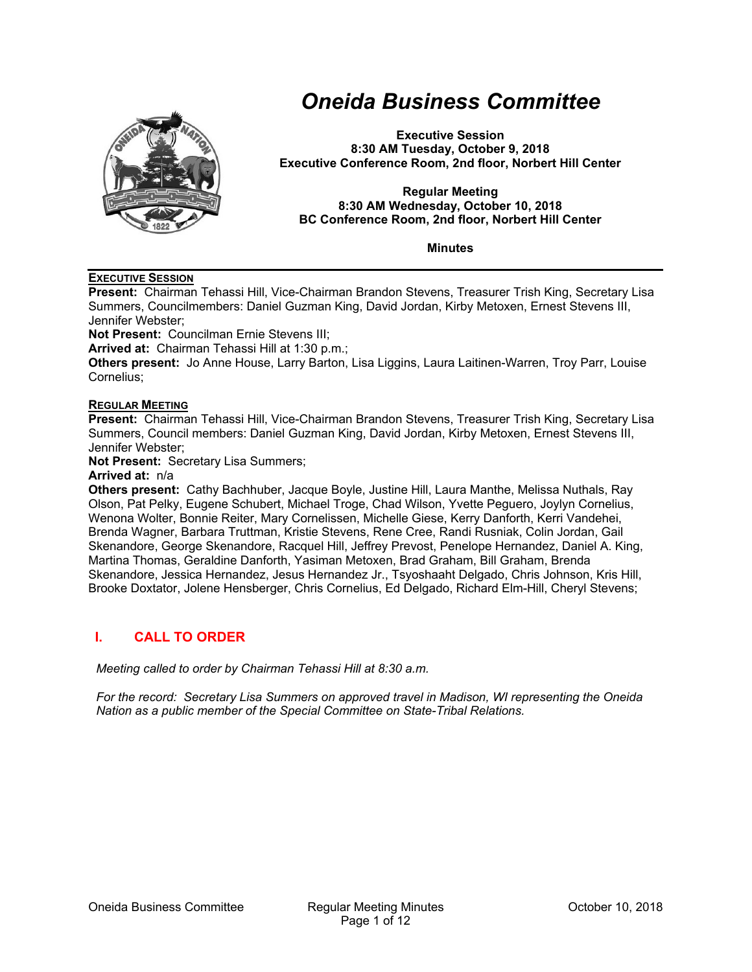

# *Oneida Business Committee*

**Executive Session 8:30 AM Tuesday, October 9, 2018 Executive Conference Room, 2nd floor, Norbert Hill Center** 

**Regular Meeting 8:30 AM Wednesday, October 10, 2018 BC Conference Room, 2nd floor, Norbert Hill Center** 

**Minutes** 

#### **EXECUTIVE SESSION**

**Present:** Chairman Tehassi Hill, Vice-Chairman Brandon Stevens, Treasurer Trish King, Secretary Lisa Summers, Councilmembers: Daniel Guzman King, David Jordan, Kirby Metoxen, Ernest Stevens III, Jennifer Webster;

**Not Present:** Councilman Ernie Stevens III;

**Arrived at:** Chairman Tehassi Hill at 1:30 p.m.;

**Others present:** Jo Anne House, Larry Barton, Lisa Liggins, Laura Laitinen-Warren, Troy Parr, Louise Cornelius;

#### **REGULAR MEETING**

**Present:** Chairman Tehassi Hill, Vice-Chairman Brandon Stevens, Treasurer Trish King, Secretary Lisa Summers, Council members: Daniel Guzman King, David Jordan, Kirby Metoxen, Ernest Stevens III, Jennifer Webster;

**Not Present:** Secretary Lisa Summers;

#### **Arrived at:** n/a

**Others present:** Cathy Bachhuber, Jacque Boyle, Justine Hill, Laura Manthe, Melissa Nuthals, Ray Olson, Pat Pelky, Eugene Schubert, Michael Troge, Chad Wilson, Yvette Peguero, Joylyn Cornelius, Wenona Wolter, Bonnie Reiter, Mary Cornelissen, Michelle Giese, Kerry Danforth, Kerri Vandehei, Brenda Wagner, Barbara Truttman, Kristie Stevens, Rene Cree, Randi Rusniak, Colin Jordan, Gail Skenandore, George Skenandore, Racquel Hill, Jeffrey Prevost, Penelope Hernandez, Daniel A. King, Martina Thomas, Geraldine Danforth, Yasiman Metoxen, Brad Graham, Bill Graham, Brenda Skenandore, Jessica Hernandez, Jesus Hernandez Jr., Tsyoshaaht Delgado, Chris Johnson, Kris Hill, Brooke Doxtator, Jolene Hensberger, Chris Cornelius, Ed Delgado, Richard Elm-Hill, Cheryl Stevens;

### **I. CALL TO ORDER**

*Meeting called to order by Chairman Tehassi Hill at 8:30 a.m.* 

*For the record: Secretary Lisa Summers on approved travel in Madison, WI representing the Oneida Nation as a public member of the Special Committee on State-Tribal Relations.*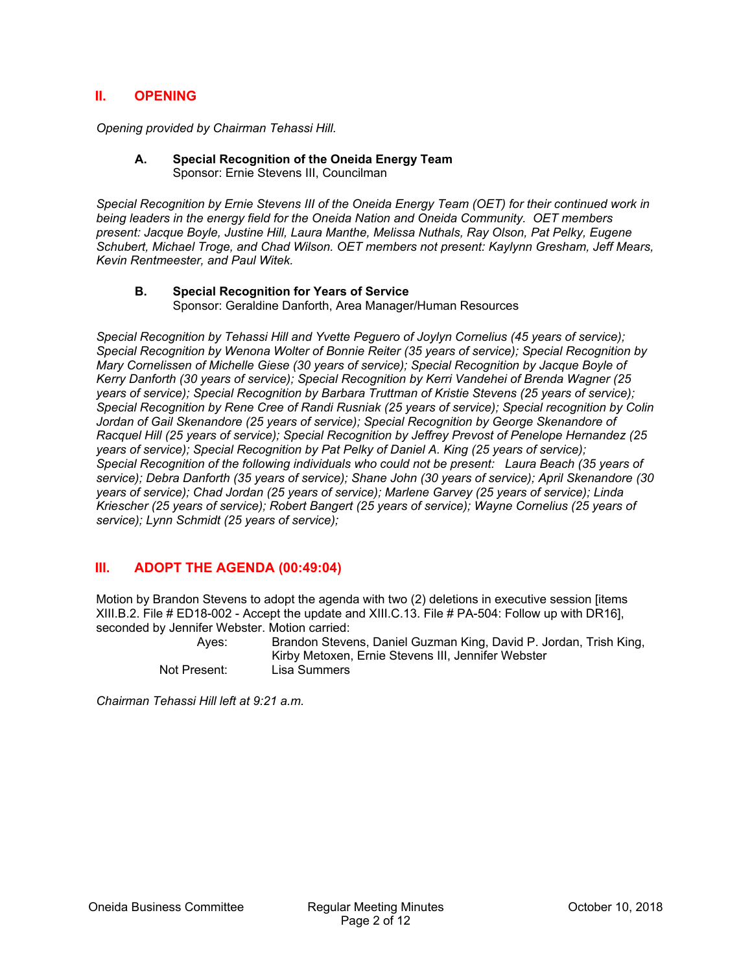## **II. OPENING**

*Opening provided by Chairman Tehassi Hill.* 

#### **A. Special Recognition of the Oneida Energy Team**  Sponsor: Ernie Stevens III, Councilman

*Special Recognition by Ernie Stevens III of the Oneida Energy Team (OET) for their continued work in being leaders in the energy field for the Oneida Nation and Oneida Community. OET members present: Jacque Boyle, Justine Hill, Laura Manthe, Melissa Nuthals, Ray Olson, Pat Pelky, Eugene Schubert, Michael Troge, and Chad Wilson. OET members not present: Kaylynn Gresham, Jeff Mears, Kevin Rentmeester, and Paul Witek.* 

#### **B. Special Recognition for Years of Service**  Sponsor: Geraldine Danforth, Area Manager/Human Resources

*Special Recognition by Tehassi Hill and Yvette Peguero of Joylyn Cornelius (45 years of service); Special Recognition by Wenona Wolter of Bonnie Reiter (35 years of service); Special Recognition by Mary Cornelissen of Michelle Giese (30 years of service); Special Recognition by Jacque Boyle of Kerry Danforth (30 years of service); Special Recognition by Kerri Vandehei of Brenda Wagner (25 years of service); Special Recognition by Barbara Truttman of Kristie Stevens (25 years of service); Special Recognition by Rene Cree of Randi Rusniak (25 years of service); Special recognition by Colin Jordan of Gail Skenandore (25 years of service); Special Recognition by George Skenandore of Racquel Hill (25 years of service); Special Recognition by Jeffrey Prevost of Penelope Hernandez (25 years of service); Special Recognition by Pat Pelky of Daniel A. King (25 years of service); Special Recognition of the following individuals who could not be present: Laura Beach (35 years of service); Debra Danforth (35 years of service); Shane John (30 years of service); April Skenandore (30 years of service); Chad Jordan (25 years of service); Marlene Garvey (25 years of service); Linda Kriescher (25 years of service); Robert Bangert (25 years of service); Wayne Cornelius (25 years of service); Lynn Schmidt (25 years of service);* 

## **III. ADOPT THE AGENDA (00:49:04)**

Motion by Brandon Stevens to adopt the agenda with two (2) deletions in executive session [items XIII.B.2. File # ED18-002 - Accept the update and XIII.C.13. File # PA-504: Follow up with DR16], seconded by Jennifer Webster. Motion carried:

 Ayes: Brandon Stevens, Daniel Guzman King, David P. Jordan, Trish King, Kirby Metoxen, Ernie Stevens III, Jennifer Webster Not Present: Lisa Summers

*Chairman Tehassi Hill left at 9:21 a.m.*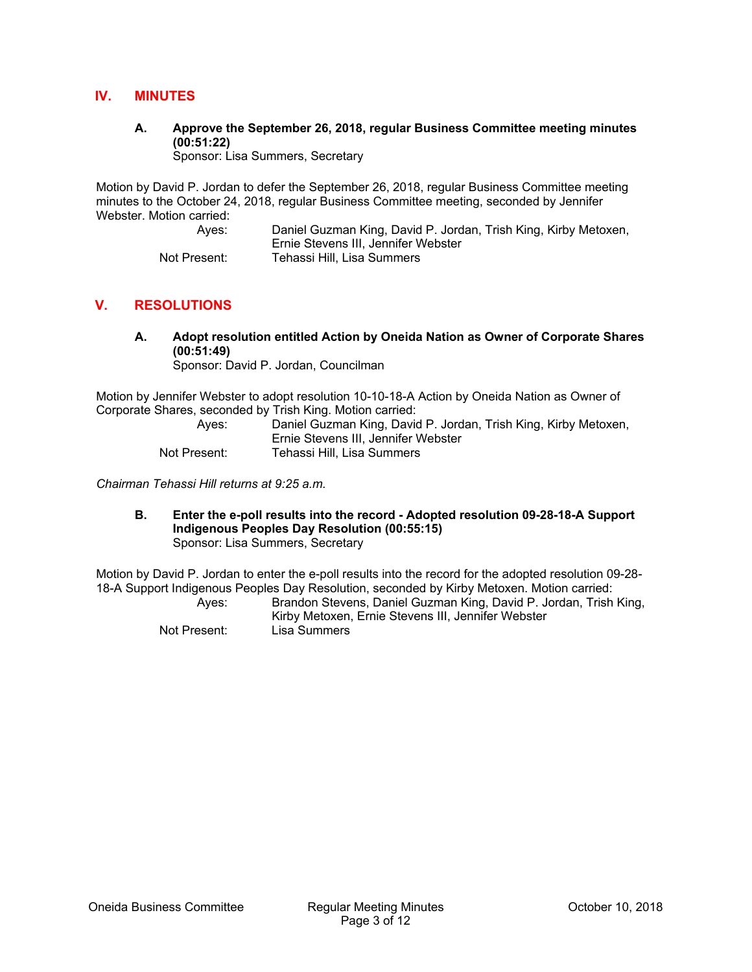## **IV. MINUTES**

**A. Approve the September 26, 2018, regular Business Committee meeting minutes (00:51:22)** 

Sponsor: Lisa Summers, Secretary

Motion by David P. Jordan to defer the September 26, 2018, regular Business Committee meeting minutes to the October 24, 2018, regular Business Committee meeting, seconded by Jennifer Webster. Motion carried:

> Ayes: Daniel Guzman King, David P. Jordan, Trish King, Kirby Metoxen, Ernie Stevens III, Jennifer Webster Not Present: Tehassi Hill, Lisa Summers

## **V. RESOLUTIONS**

**A. Adopt resolution entitled Action by Oneida Nation as Owner of Corporate Shares (00:51:49)** 

Sponsor: David P. Jordan, Councilman

Motion by Jennifer Webster to adopt resolution 10-10-18-A Action by Oneida Nation as Owner of Corporate Shares, seconded by Trish King. Motion carried:

| Aves:        | Daniel Guzman King, David P. Jordan, Trish King, Kirby Metoxen,<br>Ernie Stevens III, Jennifer Webster |
|--------------|--------------------------------------------------------------------------------------------------------|
|              |                                                                                                        |
| Not Present: | Tehassi Hill. Lisa Summers                                                                             |

*Chairman Tehassi Hill returns at 9:25 a.m.* 

**B. Enter the e-poll results into the record - Adopted resolution 09-28-18-A Support Indigenous Peoples Day Resolution (00:55:15)**  Sponsor: Lisa Summers, Secretary

Motion by David P. Jordan to enter the e-poll results into the record for the adopted resolution 09-28- 18-A Support Indigenous Peoples Day Resolution, seconded by Kirby Metoxen. Motion carried:

| Aves:        | Brandon Stevens, Daniel Guzman King, David P. Jordan, Trish King, |
|--------------|-------------------------------------------------------------------|
|              | Kirby Metoxen, Ernie Stevens III, Jennifer Webster                |
| Not Present: | Lisa Summers                                                      |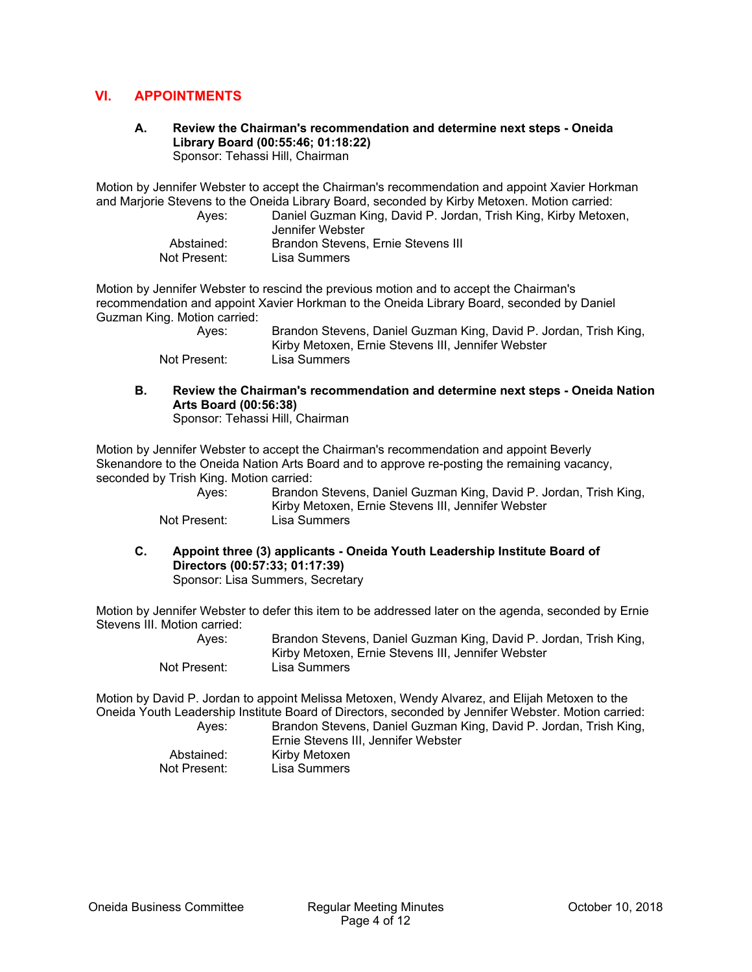## **VI. APPOINTMENTS**

#### **A. Review the Chairman's recommendation and determine next steps - Oneida Library Board (00:55:46; 01:18:22)**  Sponsor: Tehassi Hill, Chairman

Motion by Jennifer Webster to accept the Chairman's recommendation and appoint Xavier Horkman and Marjorie Stevens to the Oneida Library Board, seconded by Kirby Metoxen. Motion carried:

| Aves:        | Daniel Guzman King, David P. Jordan, Trish King, Kirby Metoxen,<br>Jennifer Webster |
|--------------|-------------------------------------------------------------------------------------|
| Abstained:   | Brandon Stevens, Ernie Stevens III                                                  |
| Not Present: | Lisa Summers                                                                        |

Motion by Jennifer Webster to rescind the previous motion and to accept the Chairman's recommendation and appoint Xavier Horkman to the Oneida Library Board, seconded by Daniel Guzman King. Motion carried:

| Aves:        | Brandon Stevens, Daniel Guzman King, David P. Jordan, Trish King, |
|--------------|-------------------------------------------------------------------|
|              | Kirby Metoxen, Ernie Stevens III, Jennifer Webster                |
| Not Present: | Lisa Summers                                                      |

**B. Review the Chairman's recommendation and determine next steps - Oneida Nation Arts Board (00:56:38)**  Sponsor: Tehassi Hill, Chairman

Motion by Jennifer Webster to accept the Chairman's recommendation and appoint Beverly

Skenandore to the Oneida Nation Arts Board and to approve re-posting the remaining vacancy, seconded by Trish King. Motion carried:

| Aves:        | Brandon Stevens, Daniel Guzman King, David P. Jordan, Trish King,<br>Kirby Metoxen, Ernie Stevens III, Jennifer Webster |
|--------------|-------------------------------------------------------------------------------------------------------------------------|
| Not Present: | Lisa Summers                                                                                                            |

- 
- **C. Appoint three (3) applicants Oneida Youth Leadership Institute Board of Directors (00:57:33; 01:17:39)**  Sponsor: Lisa Summers, Secretary

Motion by Jennifer Webster to defer this item to be addressed later on the agenda, seconded by Ernie Stevens III. Motion carried:

 Ayes: Brandon Stevens, Daniel Guzman King, David P. Jordan, Trish King, Kirby Metoxen, Ernie Stevens III, Jennifer Webster Not Present: Lisa Summers

Motion by David P. Jordan to appoint Melissa Metoxen, Wendy Alvarez, and Elijah Metoxen to the Oneida Youth Leadership Institute Board of Directors, seconded by Jennifer Webster. Motion carried:

 Ayes: Brandon Stevens, Daniel Guzman King, David P. Jordan, Trish King, Ernie Stevens III, Jennifer Webster Abstained: Kirby Metoxen<br>
Not Present: Lisa Summers Lisa Summers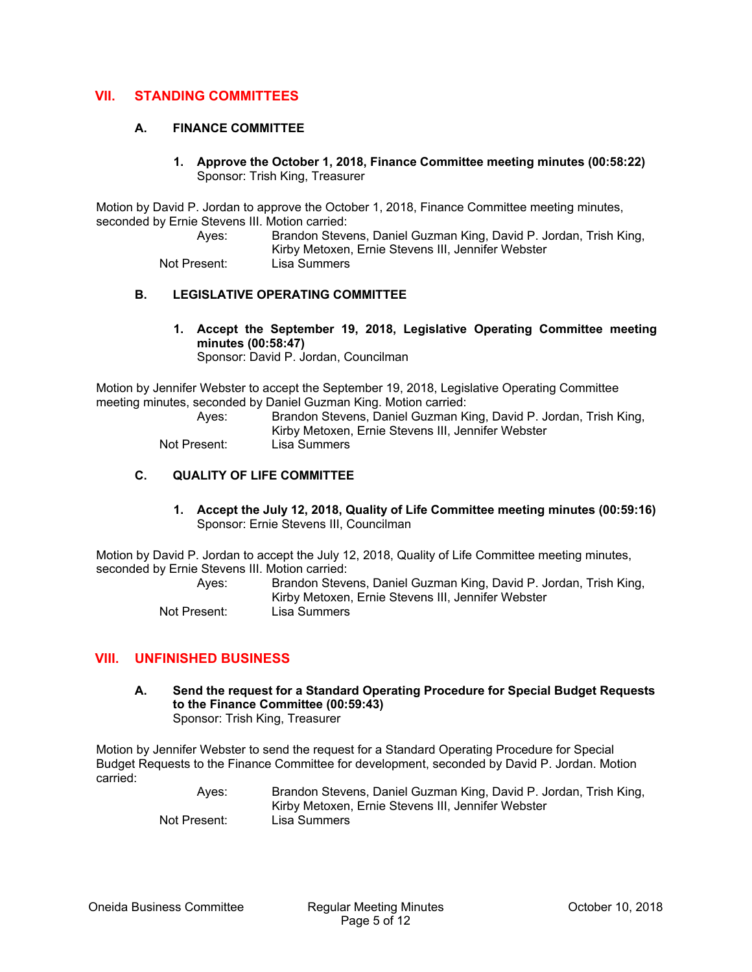## **VII. STANDING COMMITTEES**

#### **A. FINANCE COMMITTEE**

**1. Approve the October 1, 2018, Finance Committee meeting minutes (00:58:22)**  Sponsor: Trish King, Treasurer

Motion by David P. Jordan to approve the October 1, 2018, Finance Committee meeting minutes, seconded by Ernie Stevens III. Motion carried:

> Ayes: Brandon Stevens, Daniel Guzman King, David P. Jordan, Trish King, Kirby Metoxen, Ernie Stevens III, Jennifer Webster Not Present: Lisa Summers

#### **B. LEGISLATIVE OPERATING COMMITTEE**

**1. Accept the September 19, 2018, Legislative Operating Committee meeting minutes (00:58:47)**  Sponsor: David P. Jordan, Councilman

Motion by Jennifer Webster to accept the September 19, 2018, Legislative Operating Committee meeting minutes, seconded by Daniel Guzman King. Motion carried:

 Ayes: Brandon Stevens, Daniel Guzman King, David P. Jordan, Trish King, Kirby Metoxen, Ernie Stevens III, Jennifer Webster Not Present: Lisa Summers

## **C. QUALITY OF LIFE COMMITTEE**

**1. Accept the July 12, 2018, Quality of Life Committee meeting minutes (00:59:16)**  Sponsor: Ernie Stevens III, Councilman

Motion by David P. Jordan to accept the July 12, 2018, Quality of Life Committee meeting minutes, seconded by Ernie Stevens III. Motion carried:

| Aves:        | Brandon Stevens, Daniel Guzman King, David P. Jordan, Trish King, |
|--------------|-------------------------------------------------------------------|
|              | Kirby Metoxen, Ernie Stevens III, Jennifer Webster                |
| Not Present: | Lisa Summers                                                      |

### **VIII. UNFINISHED BUSINESS**

**A. Send the request for a Standard Operating Procedure for Special Budget Requests to the Finance Committee (00:59:43)**  Sponsor: Trish King, Treasurer

Motion by Jennifer Webster to send the request for a Standard Operating Procedure for Special Budget Requests to the Finance Committee for development, seconded by David P. Jordan. Motion carried:

 Ayes: Brandon Stevens, Daniel Guzman King, David P. Jordan, Trish King, Kirby Metoxen, Ernie Stevens III, Jennifer Webster Not Present: Lisa Summers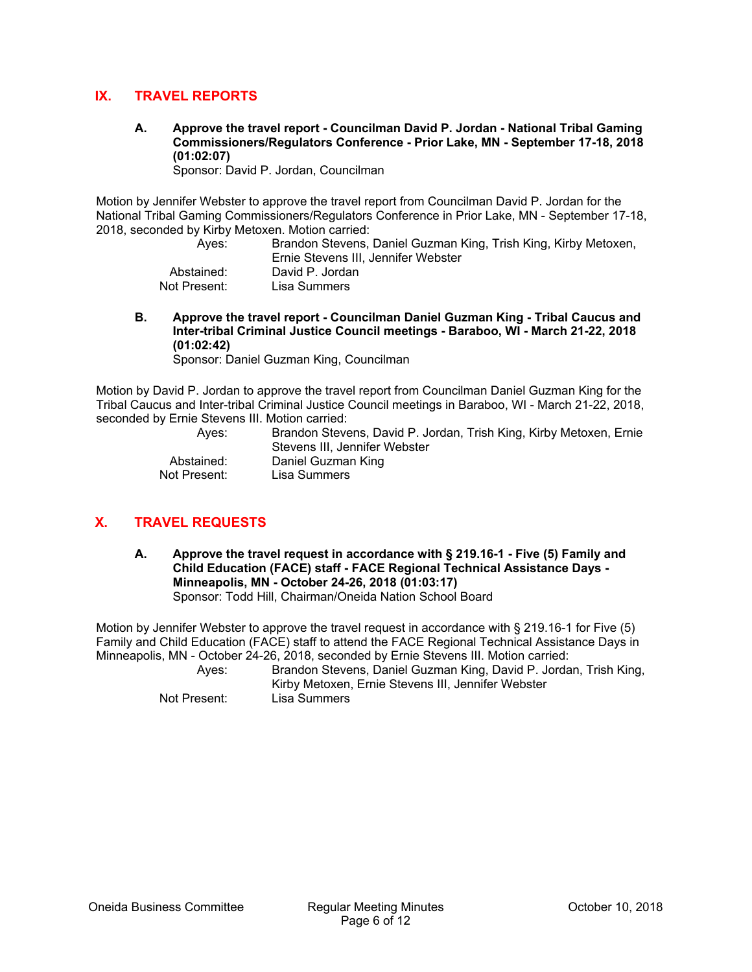## **IX. TRAVEL REPORTS**

**A. Approve the travel report - Councilman David P. Jordan - National Tribal Gaming Commissioners/Regulators Conference - Prior Lake, MN - September 17-18, 2018 (01:02:07)** 

Sponsor: David P. Jordan, Councilman

Motion by Jennifer Webster to approve the travel report from Councilman David P. Jordan for the National Tribal Gaming Commissioners/Regulators Conference in Prior Lake, MN - September 17-18, 2018, seconded by Kirby Metoxen. Motion carried:

| Aves:        | Brandon Stevens, Daniel Guzman King, Trish King, Kirby Metoxen, |
|--------------|-----------------------------------------------------------------|
|              | Ernie Stevens III. Jennifer Webster                             |
| Abstained:   | David P. Jordan                                                 |
| Not Present: | Lisa Summers                                                    |

**B. Approve the travel report - Councilman Daniel Guzman King - Tribal Caucus and Inter-tribal Criminal Justice Council meetings - Baraboo, WI - March 21-22, 2018 (01:02:42)** 

Sponsor: Daniel Guzman King, Councilman

Motion by David P. Jordan to approve the travel report from Councilman Daniel Guzman King for the Tribal Caucus and Inter-tribal Criminal Justice Council meetings in Baraboo, WI - March 21-22, 2018, seconded by Ernie Stevens III. Motion carried:

| Aves:        | Brandon Stevens, David P. Jordan, Trish King, Kirby Metoxen, Ernie<br>Stevens III. Jennifer Webster |
|--------------|-----------------------------------------------------------------------------------------------------|
| Abstained:   | Daniel Guzman King                                                                                  |
| Not Present: | Lisa Summers                                                                                        |

## **X. TRAVEL REQUESTS**

**A. Approve the travel request in accordance with § 219.16-1 - Five (5) Family and Child Education (FACE) staff - FACE Regional Technical Assistance Days - Minneapolis, MN - October 24-26, 2018 (01:03:17)**  Sponsor: Todd Hill, Chairman/Oneida Nation School Board

Motion by Jennifer Webster to approve the travel request in accordance with § 219.16-1 for Five (5) Family and Child Education (FACE) staff to attend the FACE Regional Technical Assistance Days in Minneapolis, MN - October 24-26, 2018, seconded by Ernie Stevens III. Motion carried:

 Ayes: Brandon Stevens, Daniel Guzman King, David P. Jordan, Trish King, Kirby Metoxen, Ernie Stevens III, Jennifer Webster Not Present: Lisa Summers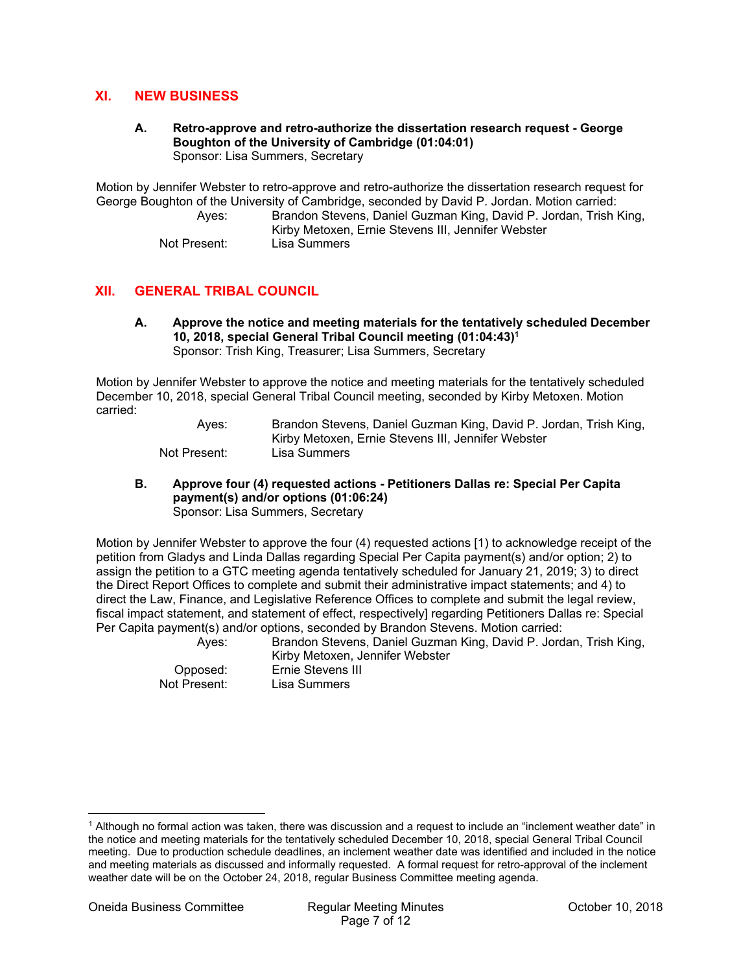## **XI. NEW BUSINESS**

#### **A. Retro-approve and retro-authorize the dissertation research request - George Boughton of the University of Cambridge (01:04:01)**  Sponsor: Lisa Summers, Secretary

Motion by Jennifer Webster to retro-approve and retro-authorize the dissertation research request for George Boughton of the University of Cambridge, seconded by David P. Jordan. Motion carried:

 Ayes: Brandon Stevens, Daniel Guzman King, David P. Jordan, Trish King, Kirby Metoxen, Ernie Stevens III, Jennifer Webster

Not Present: Lisa Summers

## **XII. GENERAL TRIBAL COUNCIL**

**A. Approve the notice and meeting materials for the tentatively scheduled December 10, 2018, special General Tribal Council meeting (01:04:43)<sup>1</sup>** Sponsor: Trish King, Treasurer; Lisa Summers, Secretary

Motion by Jennifer Webster to approve the notice and meeting materials for the tentatively scheduled December 10, 2018, special General Tribal Council meeting, seconded by Kirby Metoxen. Motion carried:

> Ayes: Brandon Stevens, Daniel Guzman King, David P. Jordan, Trish King, Kirby Metoxen, Ernie Stevens III, Jennifer Webster Not Present: Lisa Summers

**B. Approve four (4) requested actions - Petitioners Dallas re: Special Per Capita payment(s) and/or options (01:06:24)**  Sponsor: Lisa Summers, Secretary

Motion by Jennifer Webster to approve the four (4) requested actions [1) to acknowledge receipt of the petition from Gladys and Linda Dallas regarding Special Per Capita payment(s) and/or option; 2) to assign the petition to a GTC meeting agenda tentatively scheduled for January 21, 2019; 3) to direct the Direct Report Offices to complete and submit their administrative impact statements; and 4) to direct the Law, Finance, and Legislative Reference Offices to complete and submit the legal review, fiscal impact statement, and statement of effect, respectively] regarding Petitioners Dallas re: Special Per Capita payment(s) and/or options, seconded by Brandon Stevens. Motion carried:

 Ayes: Brandon Stevens, Daniel Guzman King, David P. Jordan, Trish King, Kirby Metoxen, Jennifer Webster Opposed: Ernie Stevens III Not Present: Lisa Summers

weather date will be on the October 24, 2018, regular Business Committee meeting agenda.

and meeting materials as discussed and informally requested. A formal request for retro-approval of the inclement

 $\overline{a}$ 1 Although no formal action was taken, there was discussion and a request to include an "inclement weather date" in the notice and meeting materials for the tentatively scheduled December 10, 2018, special General Tribal Council meeting. Due to production schedule deadlines, an inclement weather date was identified and included in the notice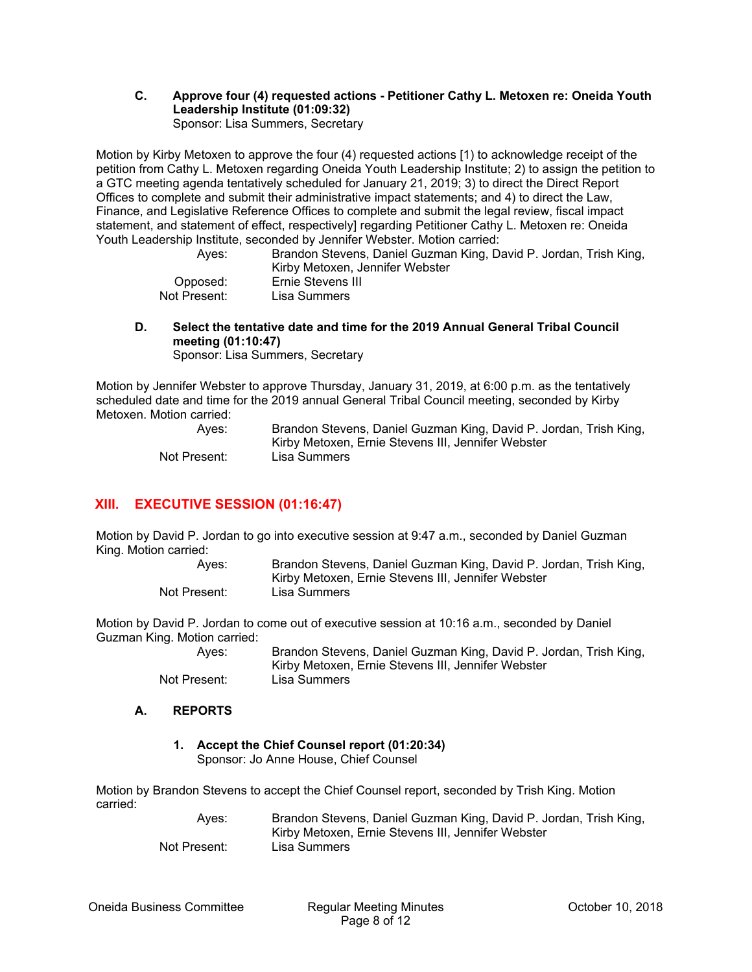#### **C. Approve four (4) requested actions - Petitioner Cathy L. Metoxen re: Oneida Youth Leadership Institute (01:09:32)**  Sponsor: Lisa Summers, Secretary

Motion by Kirby Metoxen to approve the four (4) requested actions [1) to acknowledge receipt of the petition from Cathy L. Metoxen regarding Oneida Youth Leadership Institute; 2) to assign the petition to a GTC meeting agenda tentatively scheduled for January 21, 2019; 3) to direct the Direct Report Offices to complete and submit their administrative impact statements; and 4) to direct the Law, Finance, and Legislative Reference Offices to complete and submit the legal review, fiscal impact statement, and statement of effect, respectively] regarding Petitioner Cathy L. Metoxen re: Oneida Youth Leadership Institute, seconded by Jennifer Webster. Motion carried:

 Ayes: Brandon Stevens, Daniel Guzman King, David P. Jordan, Trish King, Kirby Metoxen, Jennifer Webster Opposed: Ernie Stevens III Not Present: Lisa Summers

**D. Select the tentative date and time for the 2019 Annual General Tribal Council meeting (01:10:47)** 

Sponsor: Lisa Summers, Secretary

Motion by Jennifer Webster to approve Thursday, January 31, 2019, at 6:00 p.m. as the tentatively scheduled date and time for the 2019 annual General Tribal Council meeting, seconded by Kirby Metoxen. Motion carried:

| Aves:        | Brandon Stevens, Daniel Guzman King, David P. Jordan, Trish King, |
|--------------|-------------------------------------------------------------------|
|              | Kirby Metoxen, Ernie Stevens III, Jennifer Webster                |
| Not Present: | Lisa Summers                                                      |

## **XIII. EXECUTIVE SESSION (01:16:47)**

Motion by David P. Jordan to go into executive session at 9:47 a.m., seconded by Daniel Guzman King. Motion carried:

| Aves:        | Brandon Stevens, Daniel Guzman King, David P. Jordan, Trish King, |
|--------------|-------------------------------------------------------------------|
|              | Kirby Metoxen, Ernie Stevens III, Jennifer Webster                |
| Not Present: | Lisa Summers                                                      |

Motion by David P. Jordan to come out of executive session at 10:16 a.m., seconded by Daniel Guzman King. Motion carried:

| Aves:        | Brandon Stevens, Daniel Guzman King, David P. Jordan, Trish King, |
|--------------|-------------------------------------------------------------------|
|              | Kirby Metoxen, Ernie Stevens III, Jennifer Webster                |
| Not Present: | Lisa Summers                                                      |

### **A. REPORTS**

## **1. Accept the Chief Counsel report (01:20:34)**

Sponsor: Jo Anne House, Chief Counsel

Motion by Brandon Stevens to accept the Chief Counsel report, seconded by Trish King. Motion carried:

 Ayes: Brandon Stevens, Daniel Guzman King, David P. Jordan, Trish King, Kirby Metoxen, Ernie Stevens III, Jennifer Webster Not Present: Lisa Summers

Oneida Business Committee Regular Meeting Minutes October 10, 2018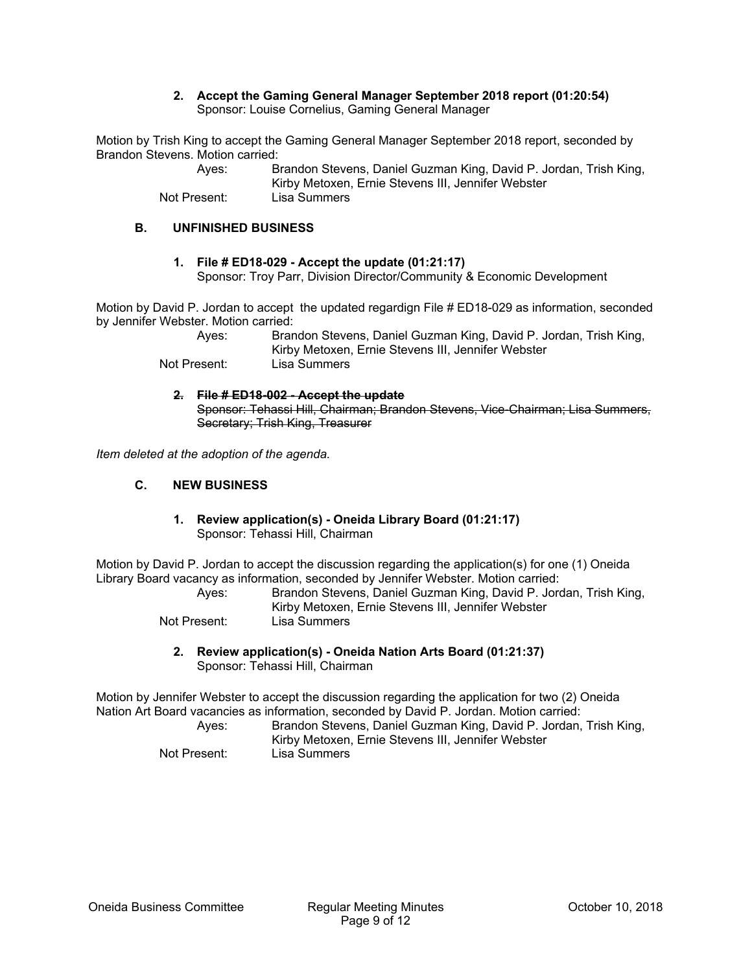#### **2. Accept the Gaming General Manager September 2018 report (01:20:54)**  Sponsor: Louise Cornelius, Gaming General Manager

Motion by Trish King to accept the Gaming General Manager September 2018 report, seconded by Brandon Stevens. Motion carried:

> Ayes: Brandon Stevens, Daniel Guzman King, David P. Jordan, Trish King, Kirby Metoxen, Ernie Stevens III, Jennifer Webster Not Present: Lisa Summers

#### **B. UNFINISHED BUSINESS**

#### **1. File # ED18-029 - Accept the update (01:21:17)**  Sponsor: Troy Parr, Division Director/Community & Economic Development

Motion by David P. Jordan to accept the updated regardign File # ED18-029 as information, seconded by Jennifer Webster. Motion carried:

 Ayes: Brandon Stevens, Daniel Guzman King, David P. Jordan, Trish King, Kirby Metoxen, Ernie Stevens III, Jennifer Webster Not Present: Lisa Summers

**2. File # ED18-002 - Accept the update**  Sponsor: Tehassi Hill, Chairman; Brandon Stevens, Vice-Chairman; Lisa Summers, Secretary; Trish King, Treasurer

*Item deleted at the adoption of the agenda.* 

#### **C. NEW BUSINESS**

#### **1. Review application(s) - Oneida Library Board (01:21:17)**  Sponsor: Tehassi Hill, Chairman

Motion by David P. Jordan to accept the discussion regarding the application(s) for one (1) Oneida Library Board vacancy as information, seconded by Jennifer Webster. Motion carried:

| Aves:        | Brandon Stevens, Daniel Guzman King, David P. Jordan, Trish King, |
|--------------|-------------------------------------------------------------------|
|              | Kirby Metoxen, Ernie Stevens III, Jennifer Webster                |
| Not Present: | Lisa Summers                                                      |

**2. Review application(s) - Oneida Nation Arts Board (01:21:37)**  Sponsor: Tehassi Hill, Chairman

Motion by Jennifer Webster to accept the discussion regarding the application for two (2) Oneida Nation Art Board vacancies as information, seconded by David P. Jordan. Motion carried:

| Aves:        | Brandon Stevens, Daniel Guzman King, David P. Jordan, Trish King,<br>Kirby Metoxen, Ernie Stevens III, Jennifer Webster |
|--------------|-------------------------------------------------------------------------------------------------------------------------|
| Not Present: | Lisa Summers                                                                                                            |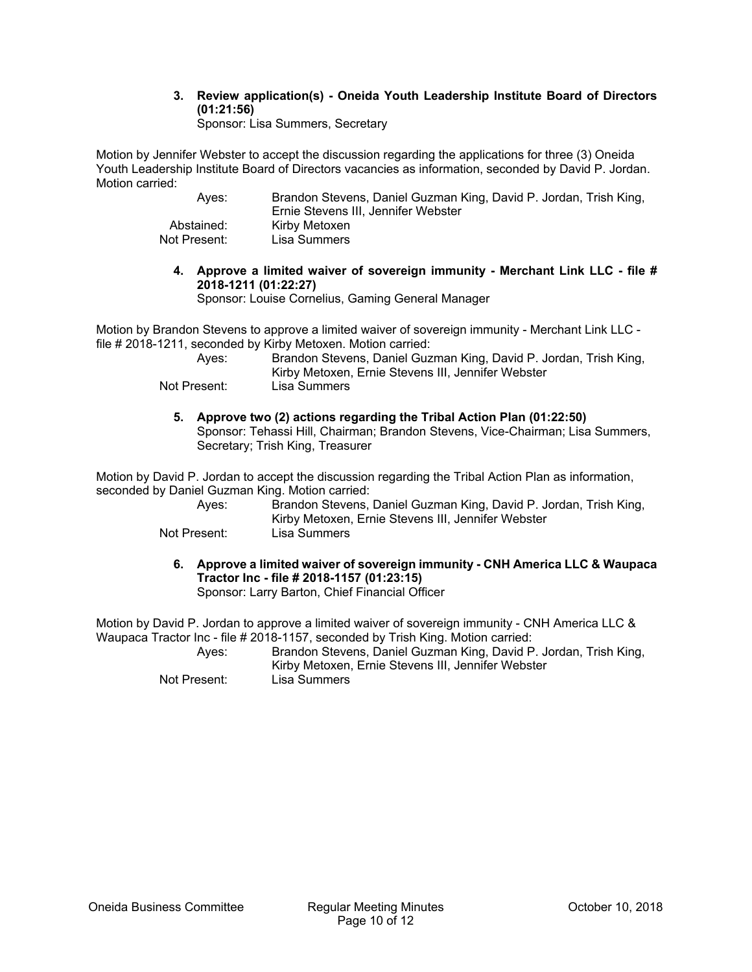## **3. Review application(s) - Oneida Youth Leadership Institute Board of Directors (01:21:56)**

Sponsor: Lisa Summers, Secretary

Motion by Jennifer Webster to accept the discussion regarding the applications for three (3) Oneida Youth Leadership Institute Board of Directors vacancies as information, seconded by David P. Jordan. Motion carried:

| Aves:        | Brandon Stevens, Daniel Guzman King, David P. Jordan, Trish King,<br>Ernie Stevens III, Jennifer Webster |
|--------------|----------------------------------------------------------------------------------------------------------|
| Abstained:   | Kirby Metoxen                                                                                            |
| Not Present: | Lisa Summers                                                                                             |

**4. Approve a limited waiver of sovereign immunity - Merchant Link LLC - file # 2018-1211 (01:22:27)** 

Sponsor: Louise Cornelius, Gaming General Manager

Motion by Brandon Stevens to approve a limited waiver of sovereign immunity - Merchant Link LLC file # 2018-1211, seconded by Kirby Metoxen. Motion carried:

| Aves:        | Brandon Stevens, Daniel Guzman King, David P. Jordan, Trish King, |
|--------------|-------------------------------------------------------------------|
|              | Kirby Metoxen, Ernie Stevens III, Jennifer Webster                |
| Not Present: | Lisa Summers                                                      |

**5. Approve two (2) actions regarding the Tribal Action Plan (01:22:50)**  Sponsor: Tehassi Hill, Chairman; Brandon Stevens, Vice-Chairman; Lisa Summers, Secretary; Trish King, Treasurer

Motion by David P. Jordan to accept the discussion regarding the Tribal Action Plan as information, seconded by Daniel Guzman King. Motion carried:

| Aves:        | Brandon Stevens, Daniel Guzman King, David P. Jordan, Trish King, |
|--------------|-------------------------------------------------------------------|
|              | Kirby Metoxen, Ernie Stevens III, Jennifer Webster                |
| Not Present: | Lisa Summers                                                      |

**6. Approve a limited waiver of sovereign immunity - CNH America LLC & Waupaca Tractor Inc - file # 2018-1157 (01:23:15)**  Sponsor: Larry Barton, Chief Financial Officer

Motion by David P. Jordan to approve a limited waiver of sovereign immunity - CNH America LLC & Waupaca Tractor Inc - file # 2018-1157, seconded by Trish King. Motion carried:

 Ayes: Brandon Stevens, Daniel Guzman King, David P. Jordan, Trish King, Kirby Metoxen, Ernie Stevens III, Jennifer Webster Not Present: Lisa Summers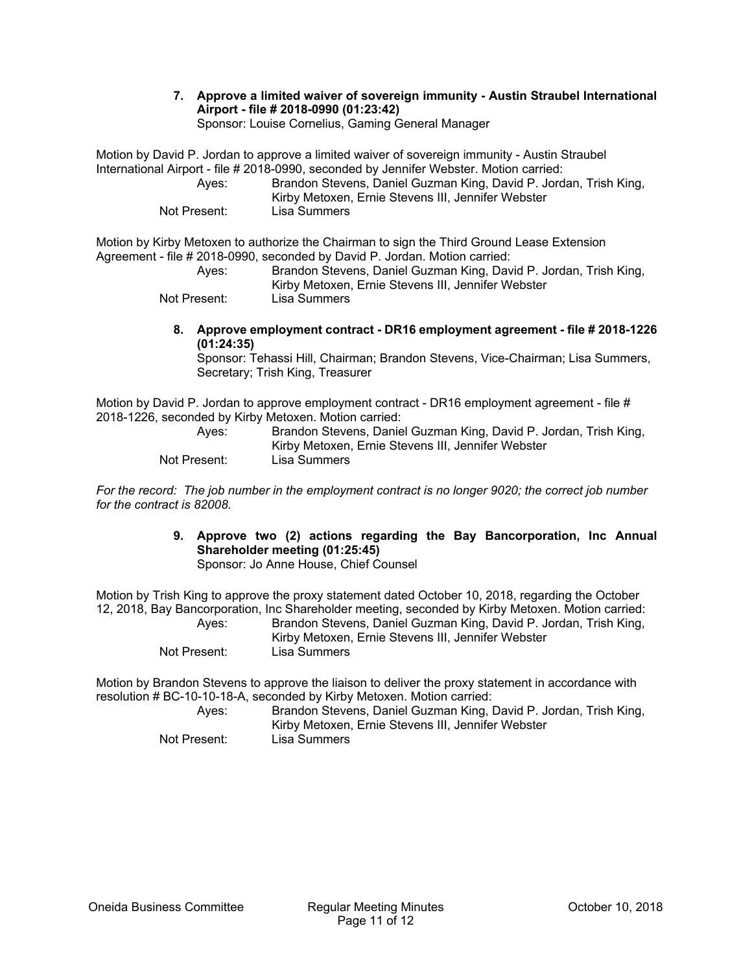## **7. Approve a limited waiver of sovereign immunity - Austin Straubel International Airport - file # 2018-0990 (01:23:42)**

Sponsor: Louise Cornelius, Gaming General Manager

Motion by David P. Jordan to approve a limited waiver of sovereign immunity - Austin Straubel International Airport - file # 2018-0990, seconded by Jennifer Webster. Motion carried: Ayes: Brandon Stevens, Daniel Guzman King, David P. Jordan, Trish King,

Kirby Metoxen, Ernie Stevens III, Jennifer Webster Not Present: Lisa Summers

Motion by Kirby Metoxen to authorize the Chairman to sign the Third Ground Lease Extension Agreement - file # 2018-0990, seconded by David P. Jordan. Motion carried:

| Aves:        | Brandon Stevens, Daniel Guzman King, David P. Jordan, Trish King, |
|--------------|-------------------------------------------------------------------|
|              | Kirby Metoxen, Ernie Stevens III, Jennifer Webster                |
| Not Present: | Lisa Summers                                                      |

**8. Approve employment contract - DR16 employment agreement - file # 2018-1226 (01:24:35)** 

Sponsor: Tehassi Hill, Chairman; Brandon Stevens, Vice-Chairman; Lisa Summers, Secretary; Trish King, Treasurer

Motion by David P. Jordan to approve employment contract - DR16 employment agreement - file # 2018-1226, seconded by Kirby Metoxen. Motion carried:

| Aves:        | Brandon Stevens, Daniel Guzman King, David P. Jordan, Trish King, |
|--------------|-------------------------------------------------------------------|
|              | Kirby Metoxen, Ernie Stevens III, Jennifer Webster                |
| Not Present: | Lisa Summers                                                      |

*For the record: The job number in the employment contract is no longer 9020; the correct job number for the contract is 82008.* 

> **9. Approve two (2) actions regarding the Bay Bancorporation, Inc Annual Shareholder meeting (01:25:45)**

Sponsor: Jo Anne House, Chief Counsel

Motion by Trish King to approve the proxy statement dated October 10, 2018, regarding the October 12, 2018, Bay Bancorporation, Inc Shareholder meeting, seconded by Kirby Metoxen. Motion carried:

| Aves:        | Brandon Stevens, Daniel Guzman King, David P. Jordan, Trish King,<br>Kirby Metoxen, Ernie Stevens III, Jennifer Webster |
|--------------|-------------------------------------------------------------------------------------------------------------------------|
| Not Present: | Lisa Summers                                                                                                            |

Motion by Brandon Stevens to approve the liaison to deliver the proxy statement in accordance with resolution # BC-10-10-18-A, seconded by Kirby Metoxen. Motion carried:

| Aves:        | Brandon Stevens, Daniel Guzman King, David P. Jordan, Trish King,<br>Kirby Metoxen, Ernie Stevens III, Jennifer Webster |
|--------------|-------------------------------------------------------------------------------------------------------------------------|
| Not Present: | Lisa Summers                                                                                                            |